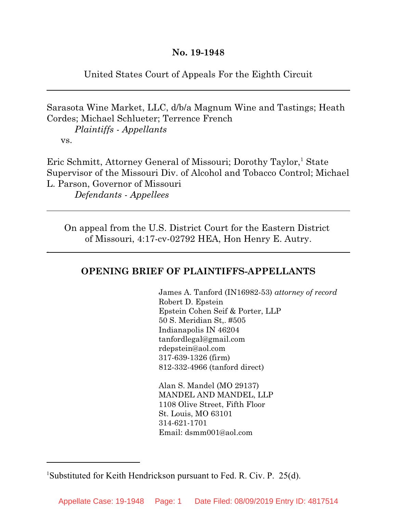United States Court of Appeals For the Eighth Circuit

Sarasota Wine Market, LLC, d/b/a Magnum Wine and Tastings; Heath Cordes; Michael Schlueter; Terrence French

*Plaintiffs - Appellants* vs.

.

Eric Schmitt, Attorney General of Missouri; Dorothy Taylor,<sup>1</sup> State Supervisor of the Missouri Div. of Alcohol and Tobacco Control; Michael L. Parson, Governor of Missouri *Defendants - Appellees*

On appeal from the U.S. District Court for the Eastern District of Missouri, 4:17-cv-02792 HEA, Hon Henry E. Autry.

# **OPENING BRIEF OF PLAINTIFFS-APPELLANTS**

James A. Tanford (IN16982-53) *attorney of record* Robert D. Epstein Epstein Cohen Seif & Porter, LLP 50 S. Meridian St,. #505 Indianapolis IN 46204 tanfordlegal@gmail.com rdepstein@aol.com 317-639-1326 (firm) 812-332-4966 (tanford direct)

Alan S. Mandel (MO 29137) MANDEL AND MANDEL, LLP 1108 Olive Street, Fifth Floor St. Louis, MO 63101 314-621-1701 Email: dsmm001@aol.com

<sup>&</sup>lt;sup>1</sup>Substituted for Keith Hendrickson pursuant to Fed. R. Civ. P. 25(d).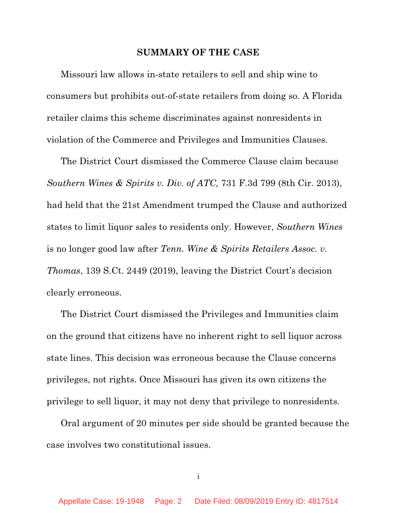#### **SUMMARY OF THE CASE**

Missouri law allows in-state retailers to sell and ship wine to consumers but prohibits out-of-state retailers from doing so. A Florida retailer claims this scheme discriminates against nonresidents in violation of the Commerce and Privileges and Immunities Clauses.

The District Court dismissed the Commerce Clause claim because *Southern Wines & Spirits v. Div. of ATC,* 731 F.3d 799 (8th Cir. 2013), had held that the 21st Amendment trumped the Clause and authorized states to limit liquor sales to residents only. However, *Southern Wines* is no longer good law after *Tenn. Wine & Spirits Retailers Assoc. v. Thomas*, 139 S.Ct. 2449 (2019), leaving the District Court's decision clearly erroneous.

The District Court dismissed the Privileges and Immunities claim on the ground that citizens have no inherent right to sell liquor across state lines. This decision was erroneous because the Clause concerns privileges, not rights. Once Missouri has given its own citizens the privilege to sell liquor, it may not deny that privilege to nonresidents.

Oral argument of 20 minutes per side should be granted because the case involves two constitutional issues.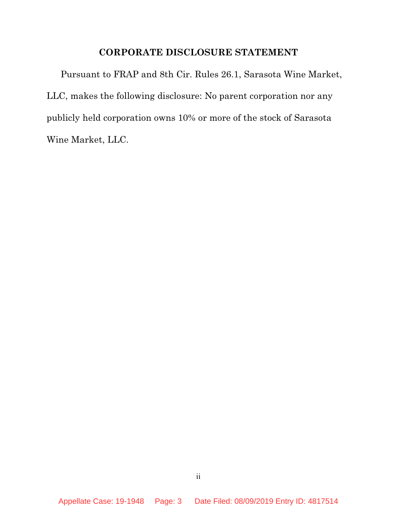## **CORPORATE DISCLOSURE STATEMENT**

Pursuant to FRAP and 8th Cir. Rules 26.1, Sarasota Wine Market, LLC, makes the following disclosure: No parent corporation nor any publicly held corporation owns 10% or more of the stock of Sarasota Wine Market, LLC.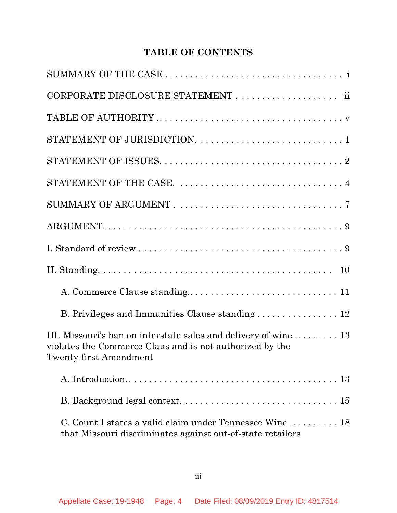# **TABLE OF CONTENTS**

| B. Privileges and Immunities Clause standing  12                                                                                                       |
|--------------------------------------------------------------------------------------------------------------------------------------------------------|
| III. Missouri's ban on interstate sales and delivery of wine  13<br>violates the Commerce Claus and is not authorized by the<br>Twenty-first Amendment |
|                                                                                                                                                        |
|                                                                                                                                                        |
| C. Count I states a valid claim under Tennessee Wine  18<br>that Missouri discriminates against out-of-state retailers                                 |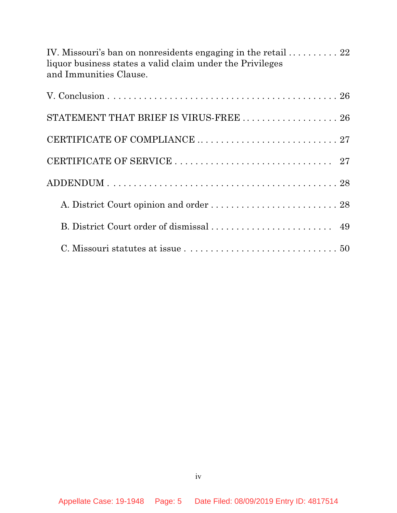| IV. Missouri's ban on nonresidents engaging in the retail $\ldots \ldots \ldots$ 22 |  |
|-------------------------------------------------------------------------------------|--|
| liquor business states a valid claim under the Privileges                           |  |
| and Immunities Clause.                                                              |  |

| STATEMENT THAT BRIEF IS VIRUS-FREE $\ldots \ldots \ldots \ldots \ldots \ldots 26$ |  |
|-----------------------------------------------------------------------------------|--|
|                                                                                   |  |
|                                                                                   |  |
|                                                                                   |  |
|                                                                                   |  |
|                                                                                   |  |
|                                                                                   |  |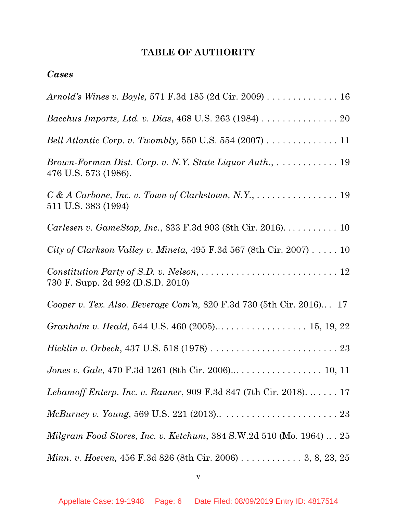# **TABLE OF AUTHORITY**

## *Cases*

| Arnold's Wines v. Boyle, 571 F.3d 185 (2d Cir. 2009) 16                                                         |
|-----------------------------------------------------------------------------------------------------------------|
| Bacchus Imports, Ltd. v. Dias, 468 U.S. 263 (1984) 20                                                           |
| Bell Atlantic Corp. v. Twombly, 550 U.S. 554 (2007) 11                                                          |
| Brown-Forman Dist. Corp. v. N.Y. State Liquor Auth., 19<br>476 U.S. 573 (1986).                                 |
| $C & A Carbone, Inc. v. Town of Clarkstown, N.Y., \ldots \ldots \ldots \ldots \ldots 19$<br>511 U.S. 383 (1994) |
| Carlesen v. GameStop, Inc., 833 F.3d 903 (8th Cir. 2016). 10                                                    |
| City of Clarkson Valley v. Mineta, 495 F.3d 567 (8th Cir. 2007) 10                                              |
| 730 F. Supp. 2d 992 (D.S.D. 2010)                                                                               |
| Cooper v. Tex. Also. Beverage Com'n, 820 F.3d 730 (5th Cir. 2016) 17                                            |
|                                                                                                                 |
|                                                                                                                 |
|                                                                                                                 |
| <i>Lebamoff Enterp. Inc. v. Rauner</i> , 909 F.3d 847 (7th Cir. 2018). $\dots \dots 17$                         |
|                                                                                                                 |
| Milgram Food Stores, Inc. v. Ketchum, 384 S.W.2d 510 (Mo. 1964) $\ldots$ 25                                     |
| Minn. v. Hoeven, 456 F.3d 826 (8th Cir. 2006) 3, 8, 23, 25                                                      |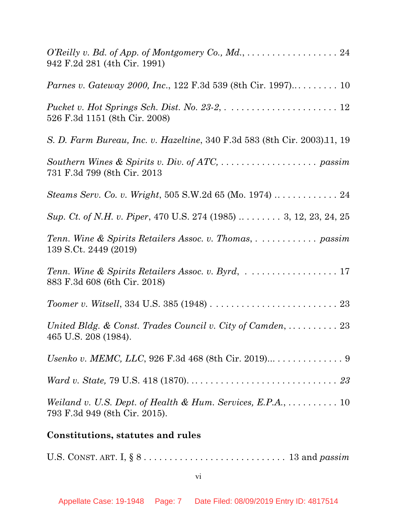| 942 F.2d 281 (4th Cir. 1991)                                                                                           |
|------------------------------------------------------------------------------------------------------------------------|
|                                                                                                                        |
| 526 F.3d 1151 (8th Cir. 2008)                                                                                          |
| S. D. Farm Bureau, Inc. v. Hazeltine, 340 F.3d 583 (8th Cir. 2003).11, 19                                              |
| 731 F.3d 799 (8th Cir. 2013)                                                                                           |
| Steams Serv. Co. v. Wright, 505 S.W.2d 65 (Mo. 1974)  24                                                               |
| Sup. Ct. of N.H. v. Piper, 470 U.S. 274 (1985) $\dots \dots$ 3, 12, 23, 24, 25                                         |
| 139 S.Ct. 2449 (2019)                                                                                                  |
| Tenn. Wine & Spirits Retailers Assoc. v. Byrd, 17<br>883 F.3d 608 (6th Cir. 2018)                                      |
|                                                                                                                        |
| United Bldg. & Const. Trades Council v. City of Camden, $\dots \dots \dots 23$<br>465 U.S. 208 (1984).                 |
|                                                                                                                        |
|                                                                                                                        |
| Weiland v. U.S. Dept. of Health & Hum. Services, E.P.A., $\dots \dots \dots \dots$ 10<br>793 F.3d 949 (8th Cir. 2015). |
| Constitutions, statutes and rules                                                                                      |

U.S. CONST. ART. I, § 8 . . . . . . . . . . . . . . . . . . . . . . . . . . . . 13 and *passim*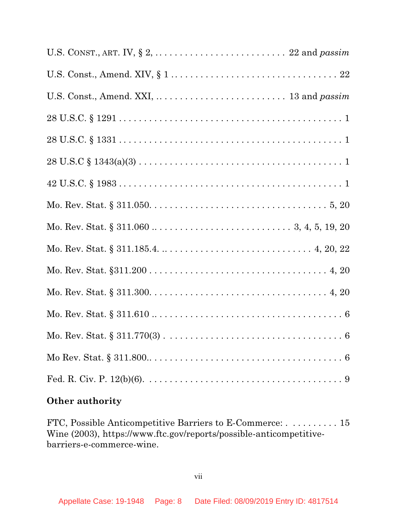# **Other authority**

FTC, Possible Anticompetitive Barriers to E-Commerce: . . . . . . . . . . 15 Wine (2003), https://www.ftc.gov/reports/possible-anticompetitivebarriers-e-commerce-wine.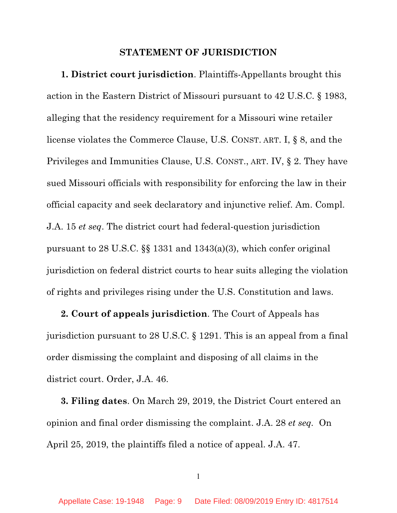#### **STATEMENT OF JURISDICTION**

**1. District court jurisdiction**. Plaintiffs-Appellants brought this action in the Eastern District of Missouri pursuant to 42 U.S.C. § 1983, alleging that the residency requirement for a Missouri wine retailer license violates the Commerce Clause, U.S. CONST. ART. I, § 8, and the Privileges and Immunities Clause, U.S. CONST., ART. IV, § 2. They have sued Missouri officials with responsibility for enforcing the law in their official capacity and seek declaratory and injunctive relief. Am. Compl. J.A. 15 *et seq*. The district court had federal-question jurisdiction pursuant to 28 U.S.C. §§ 1331 and 1343(a)(3), which confer original jurisdiction on federal district courts to hear suits alleging the violation of rights and privileges rising under the U.S. Constitution and laws.

**2. Court of appeals jurisdiction**. The Court of Appeals has jurisdiction pursuant to 28 U.S.C. § 1291. This is an appeal from a final order dismissing the complaint and disposing of all claims in the district court. Order, J.A. 46.

**3. Filing dates**. On March 29, 2019, the District Court entered an opinion and final order dismissing the complaint. J.A. 28 *et seq.* On April 25, 2019, the plaintiffs filed a notice of appeal. J.A. 47.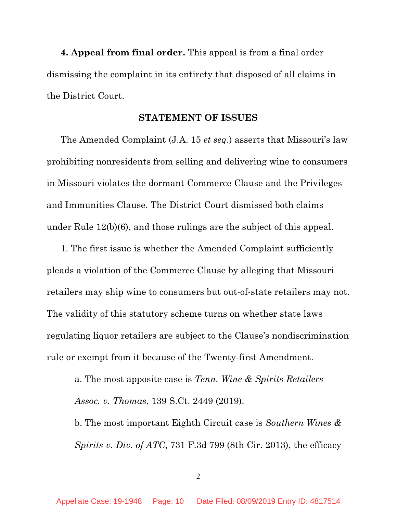**4. Appeal from final order.** This appeal is from a final order dismissing the complaint in its entirety that disposed of all claims in the District Court.

#### **STATEMENT OF ISSUES**

The Amended Complaint (J.A. 15 *et seq*.) asserts that Missouri's law prohibiting nonresidents from selling and delivering wine to consumers in Missouri violates the dormant Commerce Clause and the Privileges and Immunities Clause. The District Court dismissed both claims under Rule 12(b)(6), and those rulings are the subject of this appeal.

1. The first issue is whether the Amended Complaint sufficiently pleads a violation of the Commerce Clause by alleging that Missouri retailers may ship wine to consumers but out-of-state retailers may not. The validity of this statutory scheme turns on whether state laws regulating liquor retailers are subject to the Clause's nondiscrimination rule or exempt from it because of the Twenty-first Amendment.

a. The most apposite case is *Tenn. Wine & Spirits Retailers Assoc. v. Thomas*, 139 S.Ct. 2449 (2019).

b. The most important Eighth Circuit case is *Southern Wines & Spirits v. Div. of ATC*, 731 F.3d 799 (8th Cir. 2013), the efficacy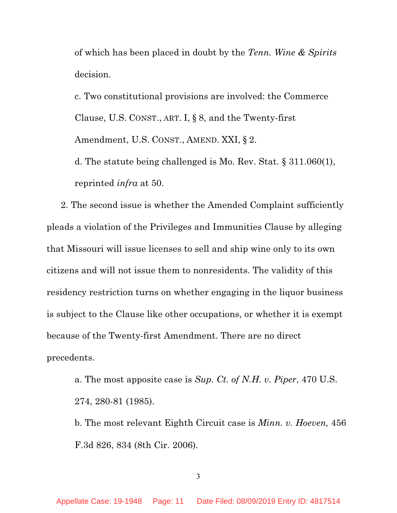of which has been placed in doubt by the *Tenn. Wine & Spirits* decision.

c. Two constitutional provisions are involved: the Commerce Clause, U.S. CONST., ART. I, § 8, and the Twenty-first Amendment, U.S. CONST., AMEND. XXI, § 2.

d. The statute being challenged is Mo. Rev. Stat. § 311.060(1), reprinted *infra* at 50.

2. The second issue is whether the Amended Complaint sufficiently pleads a violation of the Privileges and Immunities Clause by alleging that Missouri will issue licenses to sell and ship wine only to its own citizens and will not issue them to nonresidents. The validity of this residency restriction turns on whether engaging in the liquor business is subject to the Clause like other occupations, or whether it is exempt because of the Twenty-first Amendment. There are no direct precedents.

a. The most apposite case is *Sup. Ct. of N.H. v. Piper*, 470 U.S. 274, 280-81 (1985).

b. The most relevant Eighth Circuit case is *Minn. v. Hoeven,* 456 F.3d 826, 834 (8th Cir. 2006)*.*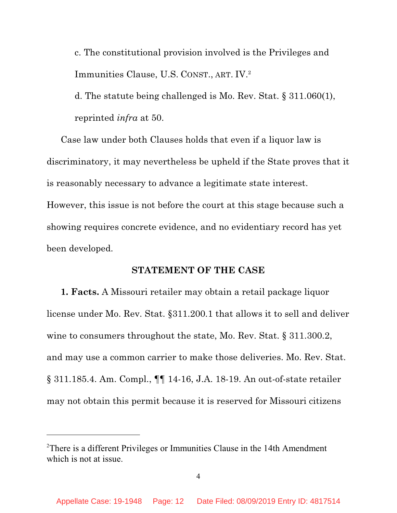c. The constitutional provision involved is the Privileges and Immunities Clause, U.S. CONST., ART. IV.<sup>2</sup>

d. The statute being challenged is Mo. Rev. Stat. § 311.060(1), reprinted *infra* at 50.

Case law under both Clauses holds that even if a liquor law is discriminatory, it may nevertheless be upheld if the State proves that it is reasonably necessary to advance a legitimate state interest. However, this issue is not before the court at this stage because such a showing requires concrete evidence, and no evidentiary record has yet been developed.

## **STATEMENT OF THE CASE**

**1. Facts.** A Missouri retailer may obtain a retail package liquor license under Mo. Rev. Stat. §311.200.1 that allows it to sell and deliver wine to consumers throughout the state, Mo. Rev. Stat. § 311.300.2, and may use a common carrier to make those deliveries. Mo. Rev. Stat. § 311.185.4. Am. Compl., ¶¶ 14-16, J.A. 18-19. An out-of-state retailer may not obtain this permit because it is reserved for Missouri citizens

<sup>2</sup>There is a different Privileges or Immunities Clause in the 14th Amendment which is not at issue.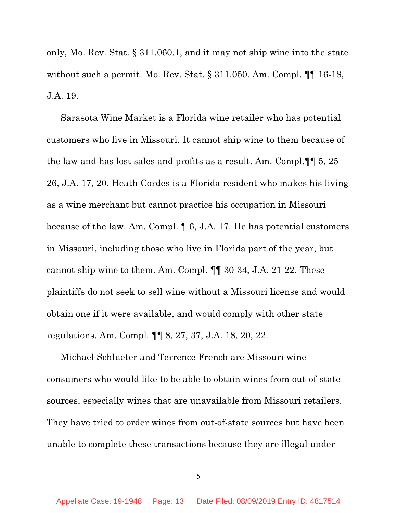only, Mo. Rev. Stat. § 311.060.1, and it may not ship wine into the state without such a permit. Mo. Rev. Stat. § 311.050. Am. Compl. ¶¶ 16-18, J.A. 19.

Sarasota Wine Market is a Florida wine retailer who has potential customers who live in Missouri. It cannot ship wine to them because of the law and has lost sales and profits as a result. Am. Compl.¶¶ 5, 25- 26, J.A. 17, 20. Heath Cordes is a Florida resident who makes his living as a wine merchant but cannot practice his occupation in Missouri because of the law. Am. Compl. ¶ 6, J.A. 17. He has potential customers in Missouri, including those who live in Florida part of the year, but cannot ship wine to them. Am. Compl. ¶¶ 30-34, J.A. 21-22. These plaintiffs do not seek to sell wine without a Missouri license and would obtain one if it were available, and would comply with other state regulations. Am. Compl. ¶¶ 8, 27, 37, J.A. 18, 20, 22.

Michael Schlueter and Terrence French are Missouri wine consumers who would like to be able to obtain wines from out-of-state sources, especially wines that are unavailable from Missouri retailers. They have tried to order wines from out-of-state sources but have been unable to complete these transactions because they are illegal under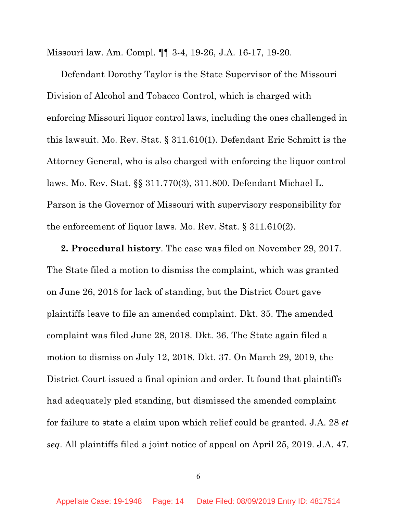Missouri law. Am. Compl. ¶¶ 3-4, 19-26, J.A. 16-17, 19-20.

Defendant Dorothy Taylor is the State Supervisor of the Missouri Division of Alcohol and Tobacco Control, which is charged with enforcing Missouri liquor control laws, including the ones challenged in this lawsuit. Mo. Rev. Stat. § 311.610(1). Defendant Eric Schmitt is the Attorney General, who is also charged with enforcing the liquor control laws. Mo. Rev. Stat. §§ 311.770(3), 311.800. Defendant Michael L. Parson is the Governor of Missouri with supervisory responsibility for the enforcement of liquor laws. Mo. Rev. Stat. § 311.610(2).

**2. Procedural history**. The case was filed on November 29, 2017. The State filed a motion to dismiss the complaint, which was granted on June 26, 2018 for lack of standing, but the District Court gave plaintiffs leave to file an amended complaint. Dkt. 35. The amended complaint was filed June 28, 2018. Dkt. 36. The State again filed a motion to dismiss on July 12, 2018. Dkt. 37. On March 29, 2019, the District Court issued a final opinion and order. It found that plaintiffs had adequately pled standing, but dismissed the amended complaint for failure to state a claim upon which relief could be granted. J.A. 28 *et seq*. All plaintiffs filed a joint notice of appeal on April 25, 2019. J.A. 47.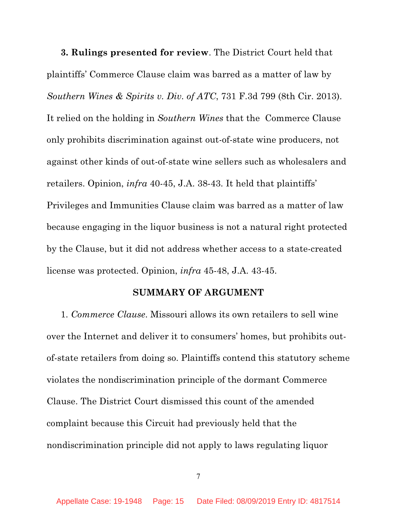**3. Rulings presented for review**. The District Court held that plaintiffs' Commerce Clause claim was barred as a matter of law by *Southern Wines & Spirits v. Div. of ATC*, 731 F.3d 799 (8th Cir. 2013). It relied on the holding in *Southern Wines* that the Commerce Clause only prohibits discrimination against out-of-state wine producers, not against other kinds of out-of-state wine sellers such as wholesalers and retailers. Opinion, *infra* 40-45, J.A. 38-43. It held that plaintiffs' Privileges and Immunities Clause claim was barred as a matter of law because engaging in the liquor business is not a natural right protected by the Clause, but it did not address whether access to a state-created license was protected. Opinion, *infra* 45-48, J.A. 43-45.

### **SUMMARY OF ARGUMENT**

1. *Commerce Clause*. Missouri allows its own retailers to sell wine over the Internet and deliver it to consumers' homes, but prohibits outof-state retailers from doing so. Plaintiffs contend this statutory scheme violates the nondiscrimination principle of the dormant Commerce Clause. The District Court dismissed this count of the amended complaint because this Circuit had previously held that the nondiscrimination principle did not apply to laws regulating liquor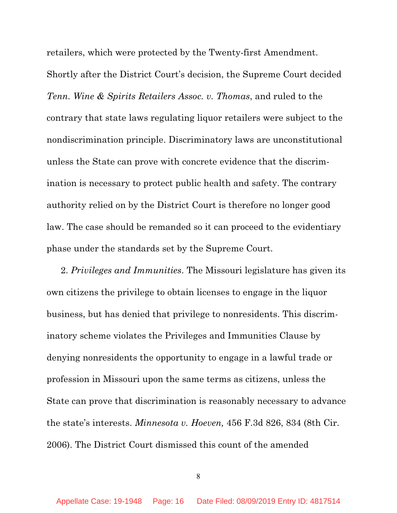retailers, which were protected by the Twenty-first Amendment.

Shortly after the District Court's decision, the Supreme Court decided *Tenn. Wine & Spirits Retailers Assoc. v. Thomas*, and ruled to the contrary that state laws regulating liquor retailers were subject to the nondiscrimination principle. Discriminatory laws are unconstitutional unless the State can prove with concrete evidence that the discrimination is necessary to protect public health and safety. The contrary authority relied on by the District Court is therefore no longer good law. The case should be remanded so it can proceed to the evidentiary phase under the standards set by the Supreme Court.

2. *Privileges and Immunities*. The Missouri legislature has given its own citizens the privilege to obtain licenses to engage in the liquor business, but has denied that privilege to nonresidents. This discriminatory scheme violates the Privileges and Immunities Clause by denying nonresidents the opportunity to engage in a lawful trade or profession in Missouri upon the same terms as citizens, unless the State can prove that discrimination is reasonably necessary to advance the state's interests. *Minnesota v. Hoeven,* 456 F.3d 826, 834 (8th Cir. 2006). The District Court dismissed this count of the amended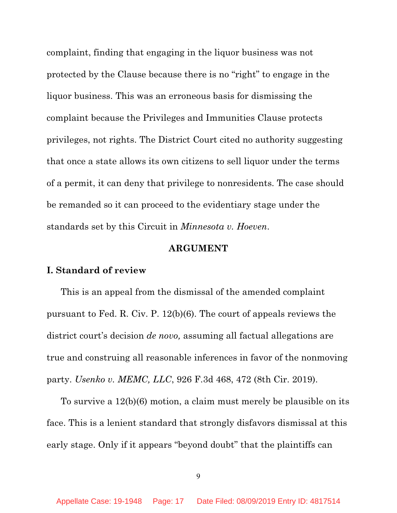complaint, finding that engaging in the liquor business was not protected by the Clause because there is no "right" to engage in the liquor business. This was an erroneous basis for dismissing the complaint because the Privileges and Immunities Clause protects privileges, not rights. The District Court cited no authority suggesting that once a state allows its own citizens to sell liquor under the terms of a permit, it can deny that privilege to nonresidents. The case should be remanded so it can proceed to the evidentiary stage under the standards set by this Circuit in *Minnesota v. Hoeven*.

#### **ARGUMENT**

#### **I. Standard of review**

This is an appeal from the dismissal of the amended complaint pursuant to Fed. R. Civ. P. 12(b)(6). The court of appeals reviews the district court's decision *de novo,* assuming all factual allegations are true and construing all reasonable inferences in favor of the nonmoving party. *Usenko v. MEMC, LLC*, 926 F.3d 468, 472 (8th Cir. 2019).

To survive a 12(b)(6) motion, a claim must merely be plausible on its face. This is a lenient standard that strongly disfavors dismissal at this early stage. Only if it appears "beyond doubt" that the plaintiffs can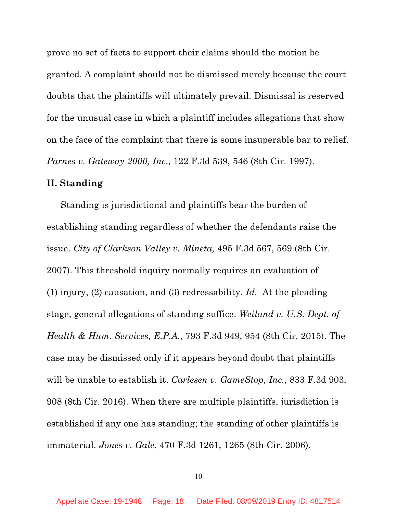prove no set of facts to support their claims should the motion be granted. A complaint should not be dismissed merely because the court doubts that the plaintiffs will ultimately prevail. Dismissal is reserved for the unusual case in which a plaintiff includes allegations that show on the face of the complaint that there is some insuperable bar to relief. *Parnes v. Gateway 2000, Inc*., 122 F.3d 539, 546 (8th Cir. 1997).

### **II. Standing**

Standing is jurisdictional and plaintiffs bear the burden of establishing standing regardless of whether the defendants raise the issue. *City of Clarkson Valley v. Mineta,* 495 F.3d 567, 569 (8th Cir. 2007). This threshold inquiry normally requires an evaluation of (1) injury, (2) causation, and (3) redressability. *Id.* At the pleading stage, general allegations of standing suffice. *Weiland v. U.S. Dept. of Health & Hum. Services, E.P.A.*, 793 F.3d 949, 954 (8th Cir. 2015). The case may be dismissed only if it appears beyond doubt that plaintiffs will be unable to establish it. *Carlesen v. GameStop, Inc.*, 833 F.3d 903, 908 (8th Cir. 2016). When there are multiple plaintiffs, jurisdiction is established if any one has standing; the standing of other plaintiffs is immaterial. *Jones v. Gale*, 470 F.3d 1261, 1265 (8th Cir. 2006).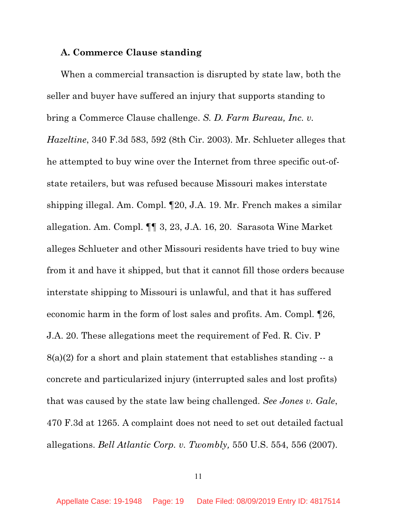#### **A. Commerce Clause standing**

When a commercial transaction is disrupted by state law, both the seller and buyer have suffered an injury that supports standing to bring a Commerce Clause challenge. *S. D. Farm Bureau, Inc. v. Hazeltine*, 340 F.3d 583, 592 (8th Cir. 2003). Mr. Schlueter alleges that he attempted to buy wine over the Internet from three specific out-ofstate retailers, but was refused because Missouri makes interstate shipping illegal. Am. Compl. ¶20, J.A. 19. Mr. French makes a similar allegation. Am. Compl. ¶¶ 3, 23, J.A. 16, 20. Sarasota Wine Market alleges Schlueter and other Missouri residents have tried to buy wine from it and have it shipped, but that it cannot fill those orders because interstate shipping to Missouri is unlawful, and that it has suffered economic harm in the form of lost sales and profits. Am. Compl. ¶26, J.A. 20. These allegations meet the requirement of Fed. R. Civ. P  $8(a)(2)$  for a short and plain statement that establishes standing  $-$  a concrete and particularized injury (interrupted sales and lost profits) that was caused by the state law being challenged. *See Jones v. Gale*, 470 F.3d at 1265. A complaint does not need to set out detailed factual allegations. *Bell Atlantic Corp. v. Twombly,* 550 U.S. 554, 556 (2007).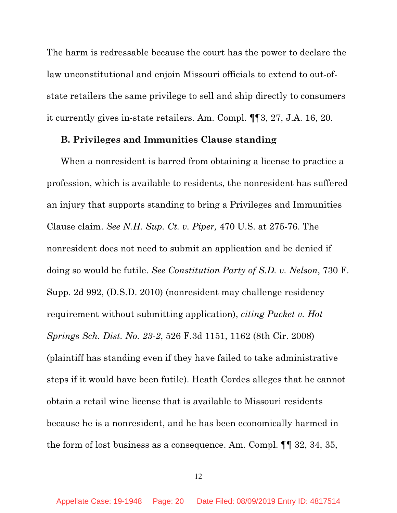The harm is redressable because the court has the power to declare the law unconstitutional and enjoin Missouri officials to extend to out-ofstate retailers the same privilege to sell and ship directly to consumers it currently gives in-state retailers. Am. Compl. ¶¶3, 27, J.A. 16, 20.

## **B. Privileges and Immunities Clause standing**

When a nonresident is barred from obtaining a license to practice a profession, which is available to residents, the nonresident has suffered an injury that supports standing to bring a Privileges and Immunities Clause claim. *See N.H. Sup. Ct. v. Piper,* 470 U.S. at 275-76. The nonresident does not need to submit an application and be denied if doing so would be futile. *See Constitution Party of S.D. v. Nelson*, 730 F. Supp. 2d 992, (D.S.D. 2010) (nonresident may challenge residency requirement without submitting application), *citing Pucket v. Hot Springs Sch. Dist. No. 23-2*, 526 F.3d 1151, 1162 (8th Cir. 2008) (plaintiff has standing even if they have failed to take administrative steps if it would have been futile). Heath Cordes alleges that he cannot obtain a retail wine license that is available to Missouri residents because he is a nonresident, and he has been economically harmed in the form of lost business as a consequence. Am. Compl. ¶¶ 32, 34, 35,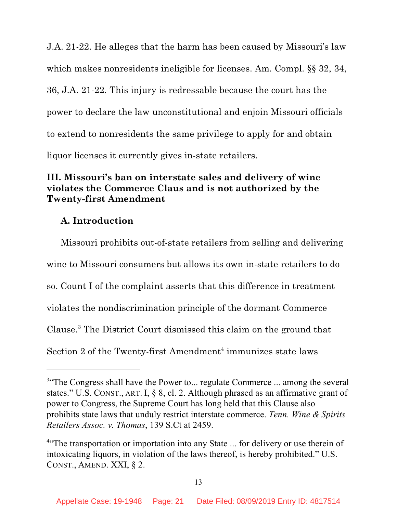J.A. 21-22. He alleges that the harm has been caused by Missouri's law which makes nonresidents ineligible for licenses. Am. Compl. §§ 32, 34, 36, J.A. 21-22. This injury is redressable because the court has the power to declare the law unconstitutional and enjoin Missouri officials to extend to nonresidents the same privilege to apply for and obtain liquor licenses it currently gives in-state retailers.

# **III. Missouri's ban on interstate sales and delivery of wine violates the Commerce Claus and is not authorized by the Twenty-first Amendment**

## **A. Introduction**

Missouri prohibits out-of-state retailers from selling and delivering wine to Missouri consumers but allows its own in-state retailers to do so. Count I of the complaint asserts that this difference in treatment violates the nondiscrimination principle of the dormant Commerce Clause. <sup>3</sup> The District Court dismissed this claim on the ground that Section 2 of the Twenty-first Amendment<sup>4</sup> immunizes state laws

<sup>&</sup>lt;sup>3</sup>"The Congress shall have the Power to... regulate Commerce ... among the several states." U.S. CONST., ART. I, § 8, cl. 2. Although phrased as an affirmative grant of power to Congress, the Supreme Court has long held that this Clause also prohibits state laws that unduly restrict interstate commerce. *Tenn. Wine & Spirits Retailers Assoc. v. Thomas*, 139 S.Ct at 2459.

<sup>&</sup>lt;sup>4"</sup>The transportation or importation into any State ... for delivery or use therein of intoxicating liquors, in violation of the laws thereof, is hereby prohibited." U.S. CONST., AMEND. XXI, § 2.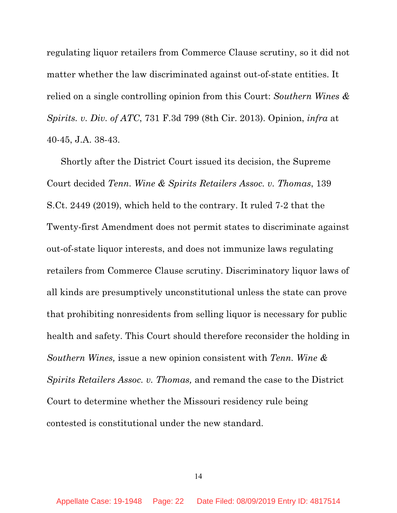regulating liquor retailers from Commerce Clause scrutiny, so it did not matter whether the law discriminated against out-of-state entities. It relied on a single controlling opinion from this Court: *Southern Wines & Spirits. v. Div. of ATC*, 731 F.3d 799 (8th Cir. 2013). Opinion, *infra* at 40-45, J.A. 38-43.

Shortly after the District Court issued its decision, the Supreme Court decided *Tenn. Wine & Spirits Retailers Assoc. v. Thomas*, 139 S.Ct. 2449 (2019), which held to the contrary. It ruled 7-2 that the Twenty-first Amendment does not permit states to discriminate against out-of-state liquor interests, and does not immunize laws regulating retailers from Commerce Clause scrutiny. Discriminatory liquor laws of all kinds are presumptively unconstitutional unless the state can prove that prohibiting nonresidents from selling liquor is necessary for public health and safety. This Court should therefore reconsider the holding in *Southern Wines,* issue a new opinion consistent with *Tenn. Wine & Spirits Retailers Assoc. v. Thomas,* and remand the case to the District Court to determine whether the Missouri residency rule being contested is constitutional under the new standard.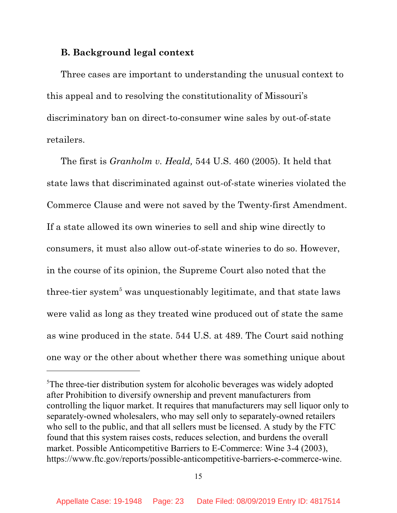## **B. Background legal context**

Three cases are important to understanding the unusual context to this appeal and to resolving the constitutionality of Missouri's discriminatory ban on direct-to-consumer wine sales by out-of-state retailers.

The first is *Granholm v. Heald,* 544 U.S. 460 (2005). It held that state laws that discriminated against out-of-state wineries violated the Commerce Clause and were not saved by the Twenty-first Amendment. If a state allowed its own wineries to sell and ship wine directly to consumers, it must also allow out-of-state wineries to do so. However, in the course of its opinion, the Supreme Court also noted that the three-tier system<sup> $5$ </sup> was unquestionably legitimate, and that state laws were valid as long as they treated wine produced out of state the same as wine produced in the state. 544 U.S. at 489. The Court said nothing one way or the other about whether there was something unique about

<sup>5</sup>The three-tier distribution system for alcoholic beverages was widely adopted after Prohibition to diversify ownership and prevent manufacturers from controlling the liquor market. It requires that manufacturers may sell liquor only to separately-owned wholesalers, who may sell only to separately-owned retailers who sell to the public, and that all sellers must be licensed. A study by the FTC found that this system raises costs, reduces selection, and burdens the overall market. Possible Anticompetitive Barriers to E-Commerce: Wine 3-4 (2003), https://www.ftc.gov/reports/possible-anticompetitive-barriers-e-commerce-wine.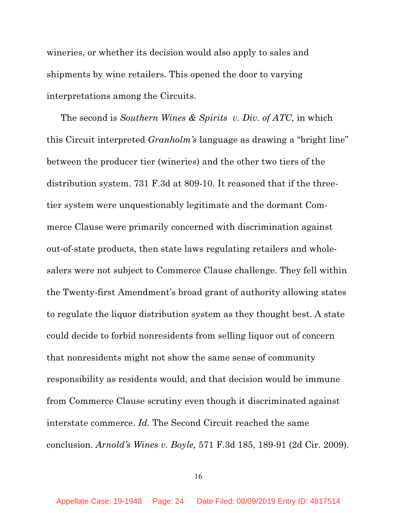wineries, or whether its decision would also apply to sales and shipments by wine retailers. This opened the door to varying interpretations among the Circuits.

The second is *Southern Wines & Spirits v. Div. of ATC,* in which this Circuit interpreted *Granholm's* language as drawing a "bright line" between the producer tier (wineries) and the other two tiers of the distribution system. 731 F.3d at 809-10. It reasoned that if the threetier system were unquestionably legitimate and the dormant Commerce Clause were primarily concerned with discrimination against out-of-state products, then state laws regulating retailers and wholesalers were not subject to Commerce Clause challenge. They fell within the Twenty-first Amendment's broad grant of authority allowing states to regulate the liquor distribution system as they thought best. A state could decide to forbid nonresidents from selling liquor out of concern that nonresidents might not show the same sense of community responsibility as residents would, and that decision would be immune from Commerce Clause scrutiny even though it discriminated against interstate commerce. *Id.* The Second Circuit reached the same conclusion. *Arnold's Wines v. Boyle,* 571 F.3d 185, 189-91 (2d Cir. 2009).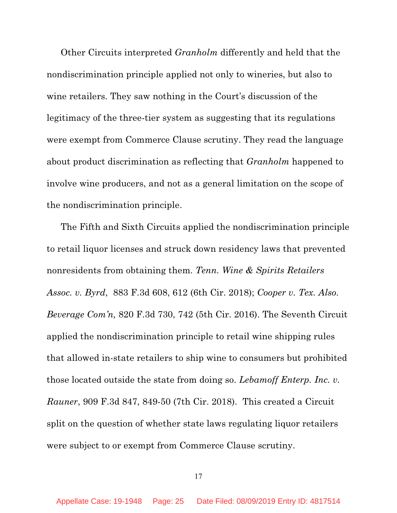Other Circuits interpreted *Granholm* differently and held that the nondiscrimination principle applied not only to wineries, but also to wine retailers. They saw nothing in the Court's discussion of the legitimacy of the three-tier system as suggesting that its regulations were exempt from Commerce Clause scrutiny. They read the language about product discrimination as reflecting that *Granholm* happened to involve wine producers, and not as a general limitation on the scope of the nondiscrimination principle.

The Fifth and Sixth Circuits applied the nondiscrimination principle to retail liquor licenses and struck down residency laws that prevented nonresidents from obtaining them. *Tenn. Wine & Spirits Retailers Assoc. v. Byrd*, 883 F.3d 608, 612 (6th Cir. 2018); *Cooper v. Tex. Also. Beverage Com'n,* 820 F.3d 730, 742 (5th Cir. 2016). The Seventh Circuit applied the nondiscrimination principle to retail wine shipping rules that allowed in-state retailers to ship wine to consumers but prohibited those located outside the state from doing so. *Lebamoff Enterp. Inc. v. Rauner*, 909 F.3d 847, 849-50 (7th Cir. 2018). This created a Circuit split on the question of whether state laws regulating liquor retailers were subject to or exempt from Commerce Clause scrutiny.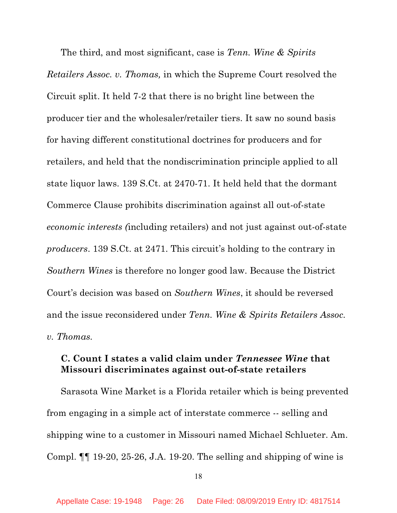The third, and most significant, case is *Tenn. Wine & Spirits Retailers Assoc. v. Thomas,* in which the Supreme Court resolved the Circuit split. It held 7-2 that there is no bright line between the producer tier and the wholesaler/retailer tiers. It saw no sound basis for having different constitutional doctrines for producers and for retailers, and held that the nondiscrimination principle applied to all state liquor laws. 139 S.Ct. at 2470-71. It held held that the dormant Commerce Clause prohibits discrimination against all out-of-state *economic interests (*including retailers) and not just against out-of-state *producers*. 139 S.Ct. at 2471. This circuit's holding to the contrary in *Southern Wines* is therefore no longer good law. Because the District Court's decision was based on *Southern Wines*, it should be reversed and the issue reconsidered under *Tenn. Wine & Spirits Retailers Assoc. v. Thomas.*

## **C. Count I states a valid claim under** *Tennessee Wine* **that Missouri discriminates against out-of-state retailers**

Sarasota Wine Market is a Florida retailer which is being prevented from engaging in a simple act of interstate commerce -- selling and shipping wine to a customer in Missouri named Michael Schlueter. Am. Compl. ¶¶ 19-20, 25-26, J.A. 19-20. The selling and shipping of wine is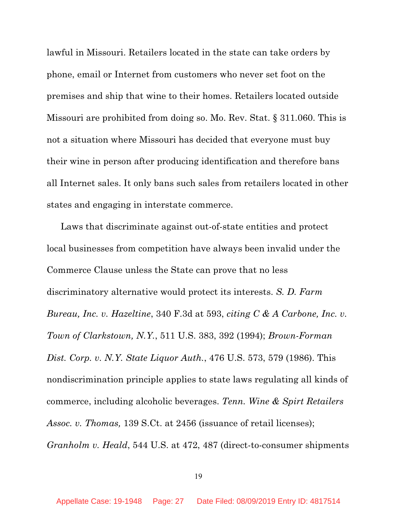lawful in Missouri. Retailers located in the state can take orders by phone, email or Internet from customers who never set foot on the premises and ship that wine to their homes. Retailers located outside Missouri are prohibited from doing so. Mo. Rev. Stat. § 311.060. This is not a situation where Missouri has decided that everyone must buy their wine in person after producing identification and therefore bans all Internet sales. It only bans such sales from retailers located in other states and engaging in interstate commerce.

Laws that discriminate against out-of-state entities and protect local businesses from competition have always been invalid under the Commerce Clause unless the State can prove that no less discriminatory alternative would protect its interests. *S. D. Farm Bureau, Inc. v. Hazeltine*, 340 F.3d at 593, *citing C & A Carbone, Inc. v. Town of Clarkstown, N.Y.*, 511 U.S. 383, 392 (1994); *Brown-Forman Dist. Corp. v. N.Y. State Liquor Auth.*, 476 U.S. 573, 579 (1986). This nondiscrimination principle applies to state laws regulating all kinds of commerce, including alcoholic beverages. *Tenn. Wine & Spirt Retailers Assoc. v. Thomas,* 139 S.Ct. at 2456 (issuance of retail licenses); *Granholm v. Heald*, 544 U.S. at 472, 487 (direct-to-consumer shipments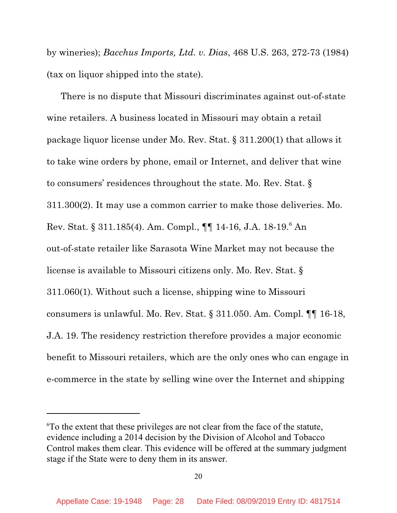by wineries); *Bacchus Imports, Ltd. v. Dias*, 468 U.S. 263, 272-73 (1984) (tax on liquor shipped into the state).

There is no dispute that Missouri discriminates against out-of-state wine retailers. A business located in Missouri may obtain a retail package liquor license under Mo. Rev. Stat. § 311.200(1) that allows it to take wine orders by phone, email or Internet, and deliver that wine to consumers' residences throughout the state. Mo. Rev. Stat. § 311.300(2). It may use a common carrier to make those deliveries. Mo. Rev. Stat. § 311.185(4). Am. Compl., ¶¶ 14-16, J.A. 18-19.<sup>6</sup> An out-of-state retailer like Sarasota Wine Market may not because the license is available to Missouri citizens only. Mo. Rev. Stat. § 311.060(1). Without such a license, shipping wine to Missouri consumers is unlawful. Mo. Rev. Stat. § 311.050. Am. Compl. ¶¶ 16-18, J.A. 19. The residency restriction therefore provides a major economic benefit to Missouri retailers, which are the only ones who can engage in e-commerce in the state by selling wine over the Internet and shipping

<sup>6</sup>To the extent that these privileges are not clear from the face of the statute, evidence including a 2014 decision by the Division of Alcohol and Tobacco Control makes them clear. This evidence will be offered at the summary judgment stage if the State were to deny them in its answer.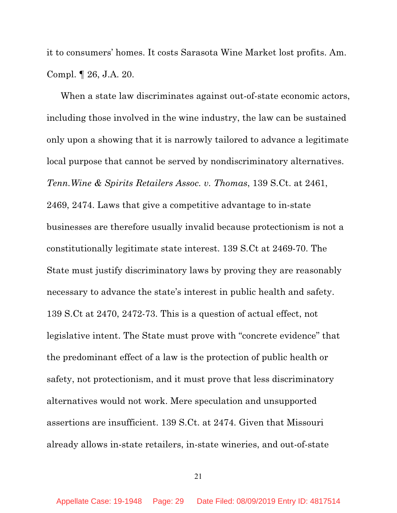it to consumers' homes. It costs Sarasota Wine Market lost profits. Am. Compl. ¶ 26, J.A. 20.

When a state law discriminates against out-of-state economic actors, including those involved in the wine industry, the law can be sustained only upon a showing that it is narrowly tailored to advance a legitimate local purpose that cannot be served by nondiscriminatory alternatives. *Tenn.Wine & Spirits Retailers Assoc. v. Thomas*, 139 S.Ct. at 2461, 2469, 2474. Laws that give a competitive advantage to in-state businesses are therefore usually invalid because protectionism is not a constitutionally legitimate state interest. 139 S.Ct at 2469-70. The State must justify discriminatory laws by proving they are reasonably necessary to advance the state's interest in public health and safety. 139 S.Ct at 2470, 2472-73. This is a question of actual effect, not legislative intent. The State must prove with "concrete evidence" that the predominant effect of a law is the protection of public health or safety, not protectionism, and it must prove that less discriminatory alternatives would not work. Mere speculation and unsupported assertions are insufficient. 139 S.Ct. at 2474. Given that Missouri already allows in-state retailers, in-state wineries, and out-of-state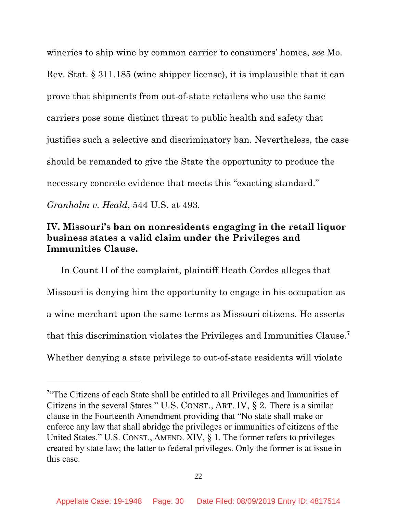wineries to ship wine by common carrier to consumers' homes, *see* Mo. Rev. Stat. § 311.185 (wine shipper license), it is implausible that it can prove that shipments from out-of-state retailers who use the same carriers pose some distinct threat to public health and safety that justifies such a selective and discriminatory ban. Nevertheless, the case should be remanded to give the State the opportunity to produce the necessary concrete evidence that meets this "exacting standard." *Granholm v. Heald*, 544 U.S. at 493.

## **IV. Missouri's ban on nonresidents engaging in the retail liquor business states a valid claim under the Privileges and Immunities Clause.**

In Count II of the complaint, plaintiff Heath Cordes alleges that Missouri is denying him the opportunity to engage in his occupation as a wine merchant upon the same terms as Missouri citizens. He asserts that this discrimination violates the Privileges and Immunities Clause.<sup>7</sup> Whether denying a state privilege to out-of-state residents will violate

<sup>&</sup>lt;sup>7</sup>"The Citizens of each State shall be entitled to all Privileges and Immunities of Citizens in the several States." U.S. CONST., ART. IV, § 2. There is a similar clause in the Fourteenth Amendment providing that "No state shall make or enforce any law that shall abridge the privileges or immunities of citizens of the United States." U.S. CONST., AMEND. XIV, § 1. The former refers to privileges created by state law; the latter to federal privileges. Only the former is at issue in this case.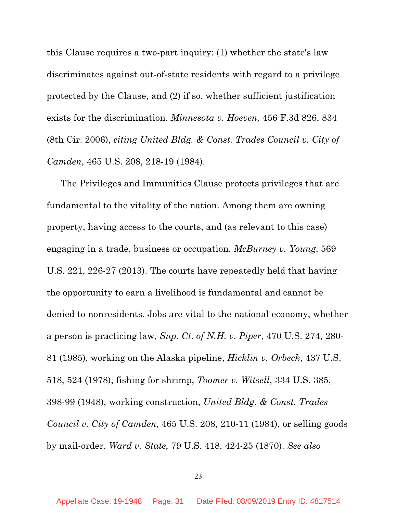this Clause requires a two-part inquiry: (1) whether the state's law discriminates against out-of-state residents with regard to a privilege protected by the Clause, and (2) if so, whether sufficient justification exists for the discrimination. *Minnesota v. Hoeven,* 456 F.3d 826, 834 (8th Cir. 2006), *citing United Bldg. & Const. Trades Council v. City of Camden*, 465 U.S. 208, 218-19 (1984).

The Privileges and Immunities Clause protects privileges that are fundamental to the vitality of the nation. Among them are owning property, having access to the courts, and (as relevant to this case) engaging in a trade, business or occupation. *McBurney v. Young*, 569 U.S. 221, 226-27 (2013). The courts have repeatedly held that having the opportunity to earn a livelihood is fundamental and cannot be denied to nonresidents. Jobs are vital to the national economy, whether a person is practicing law, *Sup. Ct. of N.H. v. Piper*, 470 U.S. 274, 280- 81 (1985), working on the Alaska pipeline, *Hicklin v. Orbeck*, 437 U.S. 518, 524 (1978), fishing for shrimp, *Toomer v. Witsell*, 334 U.S. 385, 398-99 (1948), working construction, *United Bldg. & Const. Trades Council v. City of Camden*, 465 U.S. 208, 210-11 (1984), or selling goods by mail-order. *Ward v. State,* 79 U.S. 418, 424-25 (1870). *See also*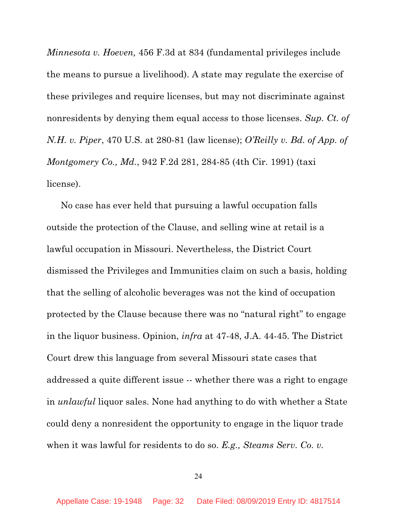*Minnesota v. Hoeven,* 456 F.3d at 834 (fundamental privileges include the means to pursue a livelihood). A state may regulate the exercise of these privileges and require licenses, but may not discriminate against nonresidents by denying them equal access to those licenses. *Sup. Ct. of N.H. v. Piper*, 470 U.S. at 280-81 (law license); *O'Reilly v. Bd. of App. of Montgomery Co., Md.*, 942 F.2d 281, 284-85 (4th Cir. 1991) (taxi license).

No case has ever held that pursuing a lawful occupation falls outside the protection of the Clause, and selling wine at retail is a lawful occupation in Missouri. Nevertheless, the District Court dismissed the Privileges and Immunities claim on such a basis, holding that the selling of alcoholic beverages was not the kind of occupation protected by the Clause because there was no "natural right" to engage in the liquor business. Opinion, *infra* at 47-48, J.A. 44-45. The District Court drew this language from several Missouri state cases that addressed a quite different issue -- whether there was a right to engage in *unlawful* liquor sales. None had anything to do with whether a State could deny a nonresident the opportunity to engage in the liquor trade when it was lawful for residents to do so. *E.g., Steams Serv. Co. v.*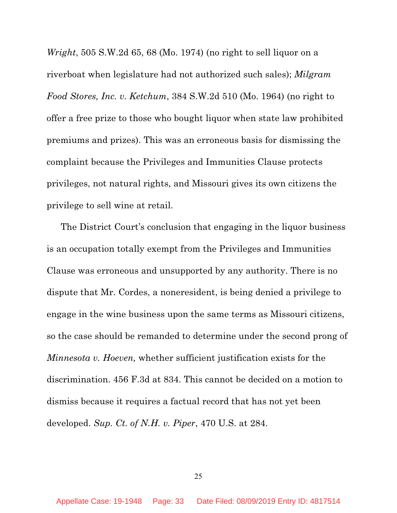*Wright*, 505 S.W.2d 65, 68 (Mo. 1974) (no right to sell liquor on a riverboat when legislature had not authorized such sales); *Milgram Food Stores, Inc. v. Ketchum*, 384 S.W.2d 510 (Mo. 1964) (no right to offer a free prize to those who bought liquor when state law prohibited premiums and prizes). This was an erroneous basis for dismissing the complaint because the Privileges and Immunities Clause protects privileges, not natural rights, and Missouri gives its own citizens the privilege to sell wine at retail.

The District Court's conclusion that engaging in the liquor business is an occupation totally exempt from the Privileges and Immunities Clause was erroneous and unsupported by any authority. There is no dispute that Mr. Cordes, a noneresident, is being denied a privilege to engage in the wine business upon the same terms as Missouri citizens, so the case should be remanded to determine under the second prong of *Minnesota v. Hoeven,* whether sufficient justification exists for the discrimination. 456 F.3d at 834. This cannot be decided on a motion to dismiss because it requires a factual record that has not yet been developed. *Sup. Ct. of N.H. v. Piper*, 470 U.S. at 284.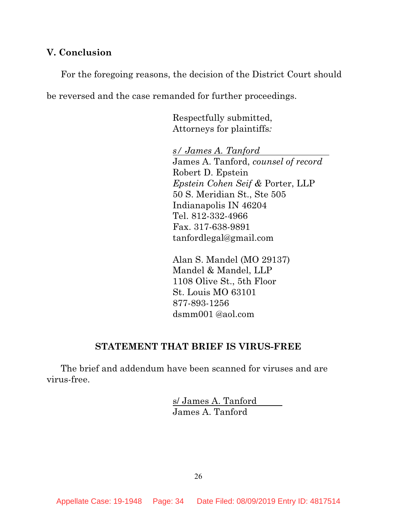## **V. Conclusion**

For the foregoing reasons, the decision of the District Court should be reversed and the case remanded for further proceedings.

> Respectfully submitted, Attorneys for plaintiffs*:*

*s/ James A. Tanford*  James A. Tanford, *counsel of record* Robert D. Epstein *Epstein Cohen Seif &* Porter, LLP 50 S. Meridian St., Ste 505 Indianapolis IN 46204 Tel. 812-332-4966 Fax. 317-638-9891 tanfordlegal@gmail.com

Alan S. Mandel (MO 29137) Mandel & Mandel, LLP 1108 Olive St., 5th Floor St. Louis MO 63101 877-893-1256 dsmm001 @aol.com

## **STATEMENT THAT BRIEF IS VIRUS-FREE**

The brief and addendum have been scanned for viruses and are virus-free.

> s/ James A. Tanford James A. Tanford